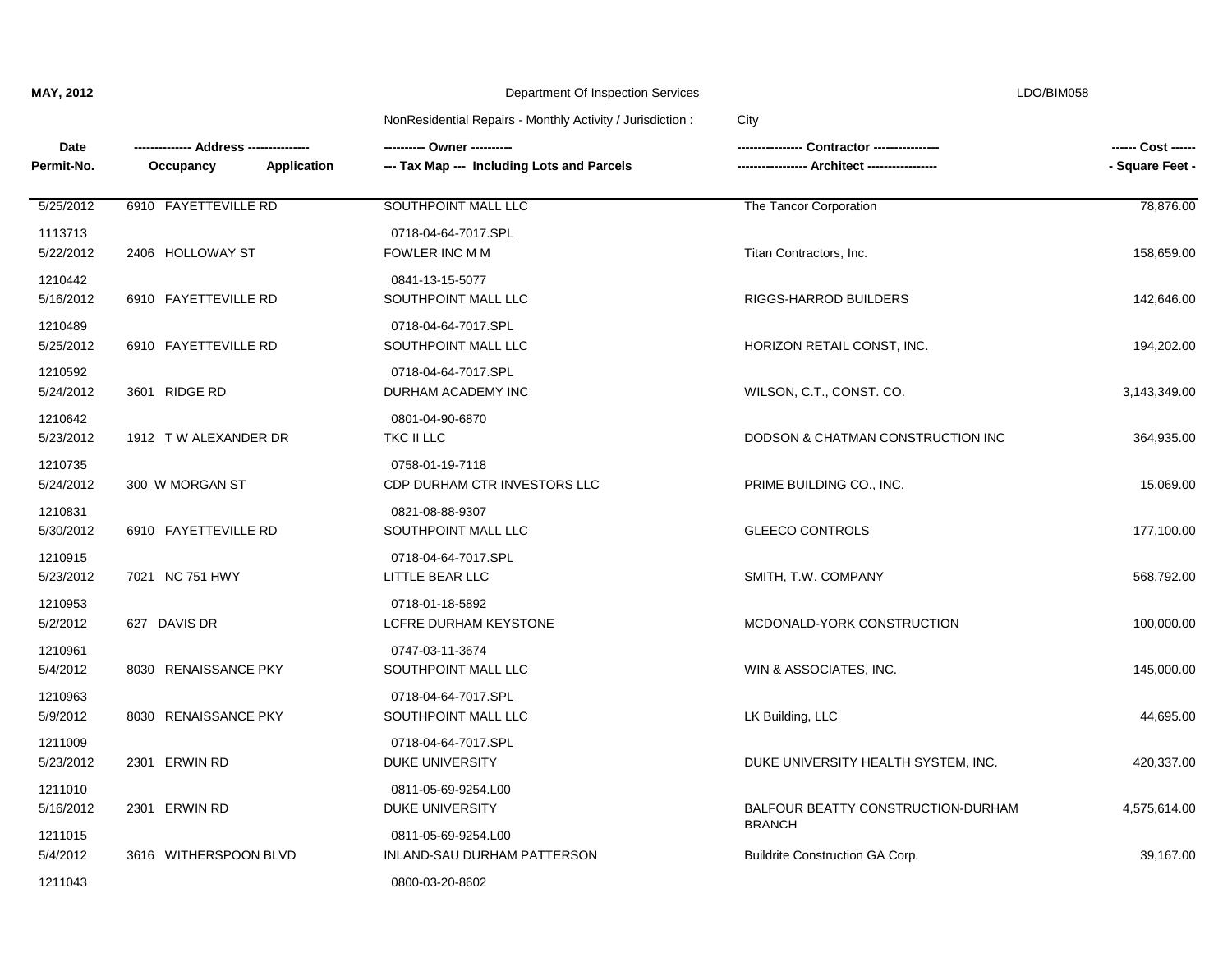| Date<br>Permit-No.   | --- Address ----------------<br><b>Application</b><br>Occupancy | --- Tax Map --- Including Lots and Parcels         | Contractor ----------------<br>- Architect ----------------- | ------ Cost ------<br>- Square Feet - |
|----------------------|-----------------------------------------------------------------|----------------------------------------------------|--------------------------------------------------------------|---------------------------------------|
| 5/25/2012            | 6910 FAYETTEVILLE RD                                            | SOUTHPOINT MALL LLC                                | The Tancor Corporation                                       | 78,876.00                             |
| 1113713<br>5/22/2012 | 2406 HOLLOWAY ST                                                | 0718-04-64-7017.SPL<br>FOWLER INC M M              | Titan Contractors, Inc.                                      | 158,659.00                            |
| 1210442<br>5/16/2012 | 6910 FAYETTEVILLE RD                                            | 0841-13-15-5077<br>SOUTHPOINT MALL LLC             | RIGGS-HARROD BUILDERS                                        | 142,646.00                            |
| 1210489<br>5/25/2012 | 6910 FAYETTEVILLE RD                                            | 0718-04-64-7017.SPL<br>SOUTHPOINT MALL LLC         | HORIZON RETAIL CONST, INC.                                   | 194,202.00                            |
| 1210592<br>5/24/2012 | 3601 RIDGE RD                                                   | 0718-04-64-7017.SPL<br>DURHAM ACADEMY INC          | WILSON, C.T., CONST. CO.                                     | 3,143,349.00                          |
| 1210642<br>5/23/2012 | 1912 TW ALEXANDER DR                                            | 0801-04-90-6870<br>TKC II LLC                      | DODSON & CHATMAN CONSTRUCTION INC                            | 364,935.00                            |
| 1210735<br>5/24/2012 | 300 W MORGAN ST                                                 | 0758-01-19-7118<br>CDP DURHAM CTR INVESTORS LLC    | PRIME BUILDING CO., INC.                                     | 15,069.00                             |
| 1210831<br>5/30/2012 | 6910 FAYETTEVILLE RD                                            | 0821-08-88-9307<br>SOUTHPOINT MALL LLC             | <b>GLEECO CONTROLS</b>                                       | 177,100.00                            |
| 1210915<br>5/23/2012 | 7021 NC 751 HWY                                                 | 0718-04-64-7017.SPL<br>LITTLE BEAR LLC             | SMITH, T.W. COMPANY                                          | 568,792.00                            |
| 1210953<br>5/2/2012  | 627 DAVIS DR                                                    | 0718-01-18-5892<br>LCFRE DURHAM KEYSTONE           | MCDONALD-YORK CONSTRUCTION                                   | 100,000.00                            |
| 1210961<br>5/4/2012  | 8030 RENAISSANCE PKY                                            | 0747-03-11-3674<br>SOUTHPOINT MALL LLC             | WIN & ASSOCIATES, INC.                                       | 145,000.00                            |
| 1210963<br>5/9/2012  | 8030 RENAISSANCE PKY                                            | 0718-04-64-7017.SPL<br>SOUTHPOINT MALL LLC         | LK Building, LLC                                             | 44,695.00                             |
| 1211009<br>5/23/2012 | 2301 ERWIN RD                                                   | 0718-04-64-7017.SPL<br>DUKE UNIVERSITY             | DUKE UNIVERSITY HEALTH SYSTEM, INC.                          | 420,337.00                            |
| 1211010<br>5/16/2012 | 2301 ERWIN RD                                                   | 0811-05-69-9254.L00<br>DUKE UNIVERSITY             | BALFOUR BEATTY CONSTRUCTION-DURHAM                           | 4,575,614.00                          |
| 1211015<br>5/4/2012  | 3616 WITHERSPOON BLVD                                           | 0811-05-69-9254.L00<br>INLAND-SAU DURHAM PATTERSON | <b>BRANCH</b><br><b>Buildrite Construction GA Corp.</b>      | 39,167.00                             |
| 1211043              |                                                                 | 0800-03-20-8602                                    |                                                              |                                       |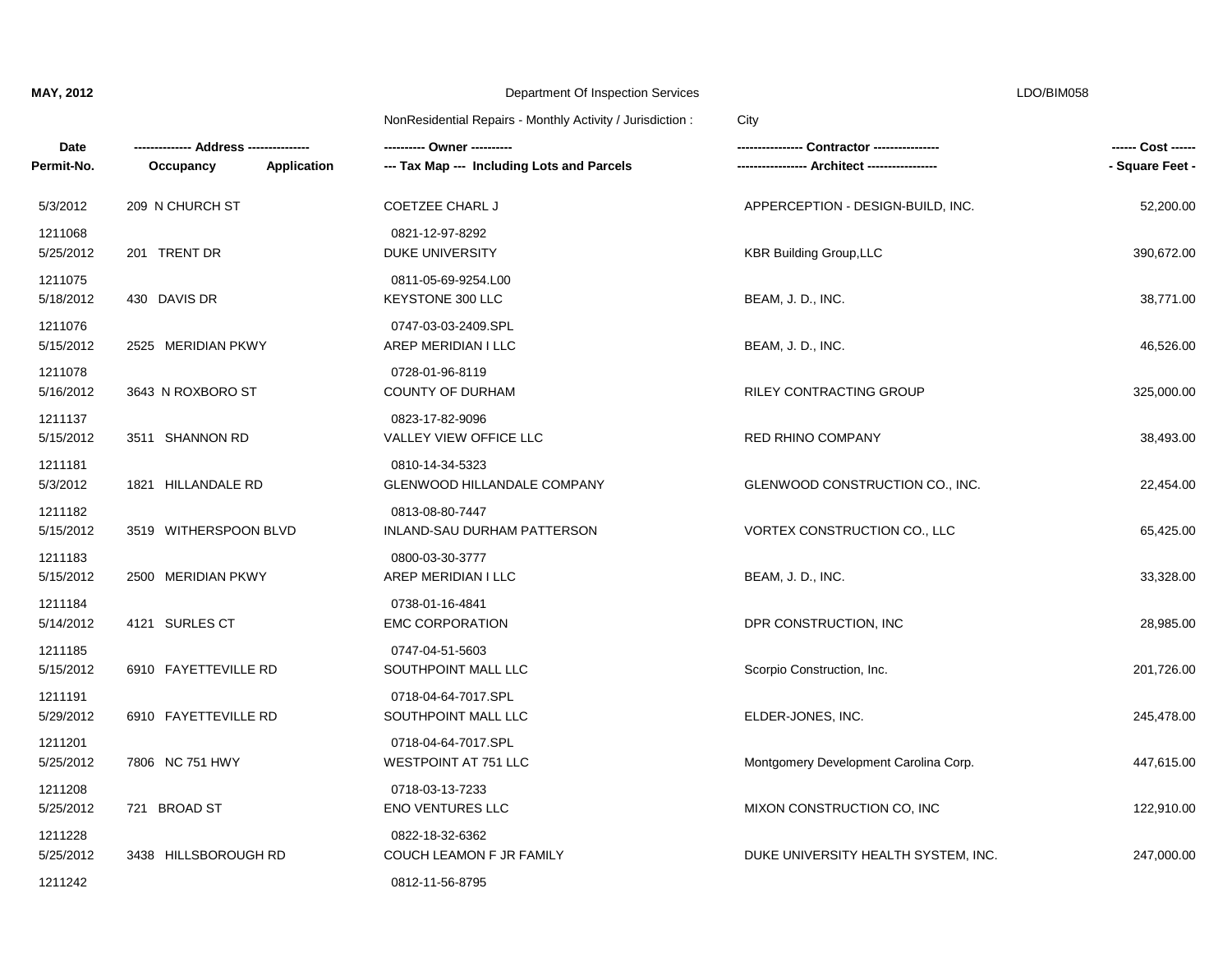| Date<br>Permit-No.   | Application<br>Occupancy | ---------- Owner ----------<br>--- Tax Map --- Including Lots and Parcels |                                       | ------ Cost ------<br>- Square Feet - |
|----------------------|--------------------------|---------------------------------------------------------------------------|---------------------------------------|---------------------------------------|
| 5/3/2012             | 209 N CHURCH ST          | <b>COETZEE CHARL J</b>                                                    | APPERCEPTION - DESIGN-BUILD, INC.     | 52,200.00                             |
| 1211068<br>5/25/2012 | 201 TRENT DR             | 0821-12-97-8292<br><b>DUKE UNIVERSITY</b>                                 | <b>KBR Building Group, LLC</b>        | 390,672.00                            |
| 1211075<br>5/18/2012 | 430 DAVIS DR             | 0811-05-69-9254.L00<br><b>KEYSTONE 300 LLC</b>                            | BEAM, J. D., INC.                     | 38,771.00                             |
| 1211076<br>5/15/2012 | 2525 MERIDIAN PKWY       | 0747-03-03-2409.SPL<br>AREP MERIDIAN I LLC                                | BEAM, J. D., INC.                     | 46,526.00                             |
| 1211078<br>5/16/2012 | 3643 N ROXBORO ST        | 0728-01-96-8119<br><b>COUNTY OF DURHAM</b>                                | RILEY CONTRACTING GROUP               | 325,000.00                            |
| 1211137<br>5/15/2012 | 3511 SHANNON RD          | 0823-17-82-9096<br>VALLEY VIEW OFFICE LLC                                 | RED RHINO COMPANY                     | 38,493.00                             |
| 1211181<br>5/3/2012  | 1821 HILLANDALE RD       | 0810-14-34-5323<br><b>GLENWOOD HILLANDALE COMPANY</b>                     | GLENWOOD CONSTRUCTION CO., INC.       | 22,454.00                             |
| 1211182<br>5/15/2012 | 3519 WITHERSPOON BLVD    | 0813-08-80-7447<br>INLAND-SAU DURHAM PATTERSON                            | VORTEX CONSTRUCTION CO., LLC          | 65,425.00                             |
| 1211183<br>5/15/2012 | 2500 MERIDIAN PKWY       | 0800-03-30-3777<br>AREP MERIDIAN I LLC                                    | BEAM, J. D., INC.                     | 33,328.00                             |
| 1211184<br>5/14/2012 | 4121 SURLES CT           | 0738-01-16-4841<br><b>EMC CORPORATION</b>                                 | DPR CONSTRUCTION, INC                 | 28,985.00                             |
| 1211185<br>5/15/2012 | 6910 FAYETTEVILLE RD     | 0747-04-51-5603<br>SOUTHPOINT MALL LLC                                    | Scorpio Construction, Inc.            | 201,726.00                            |
| 1211191<br>5/29/2012 | 6910 FAYETTEVILLE RD     | 0718-04-64-7017.SPL<br>SOUTHPOINT MALL LLC                                | ELDER-JONES, INC.                     | 245,478.00                            |
| 1211201<br>5/25/2012 | 7806 NC 751 HWY          | 0718-04-64-7017.SPL<br><b>WESTPOINT AT 751 LLC</b>                        | Montgomery Development Carolina Corp. | 447,615.00                            |
| 1211208<br>5/25/2012 | 721 BROAD ST             | 0718-03-13-7233<br><b>ENO VENTURES LLC</b>                                | MIXON CONSTRUCTION CO, INC            | 122,910.00                            |
| 1211228<br>5/25/2012 | 3438 HILLSBOROUGH RD     | 0822-18-32-6362<br>COUCH LEAMON F JR FAMILY                               | DUKE UNIVERSITY HEALTH SYSTEM, INC.   | 247,000.00                            |
| 1211242              |                          | 0812-11-56-8795                                                           |                                       |                                       |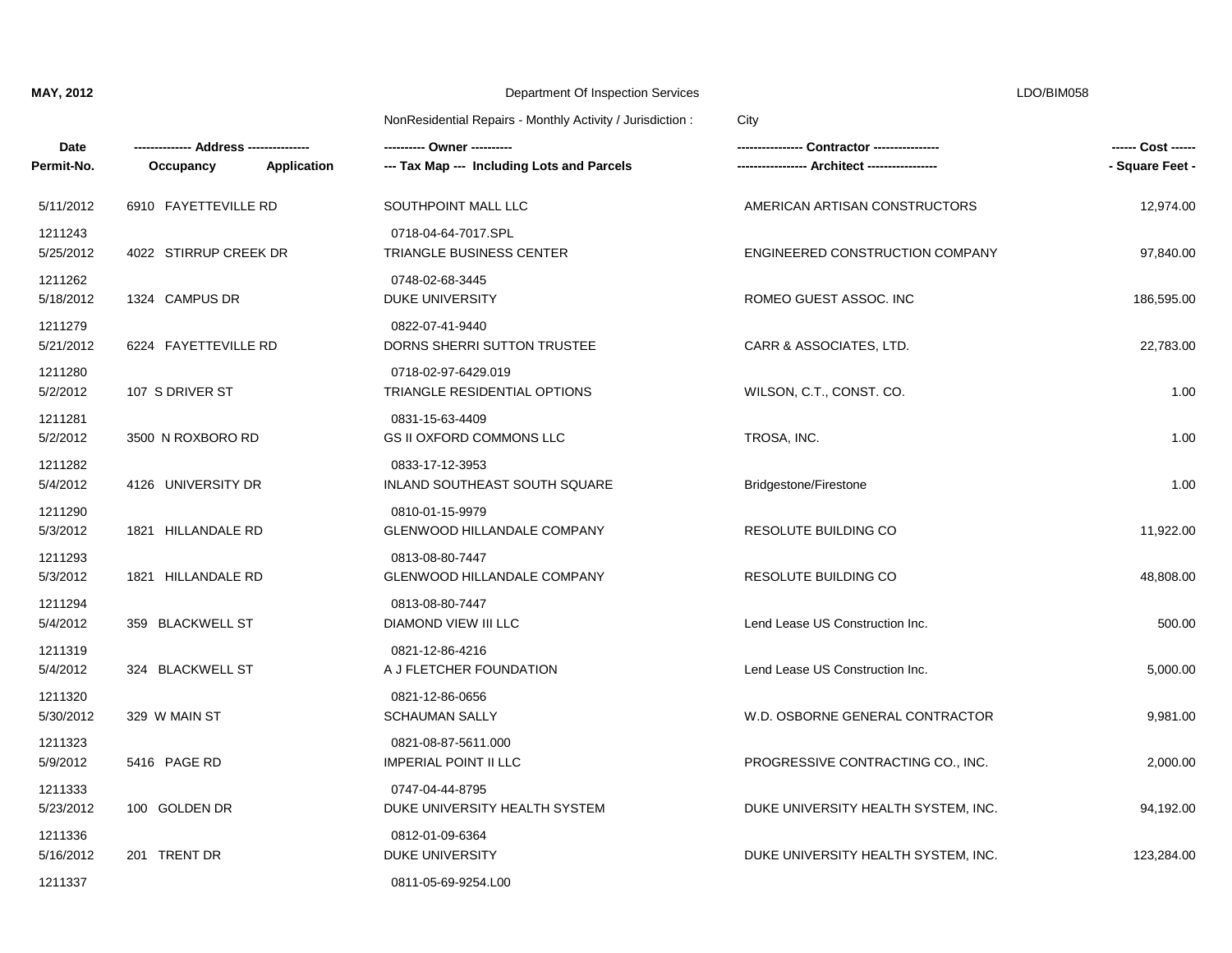| Date<br>Permit-No.   | Application<br>Occupancy | --- Tax Map --- Including Lots and Parcels            | Contractor ----------------         | ------ Cost ------<br>- Square Feet - |
|----------------------|--------------------------|-------------------------------------------------------|-------------------------------------|---------------------------------------|
| 5/11/2012            | 6910 FAYETTEVILLE RD     | SOUTHPOINT MALL LLC                                   | AMERICAN ARTISAN CONSTRUCTORS       | 12,974.00                             |
| 1211243<br>5/25/2012 | 4022 STIRRUP CREEK DR    | 0718-04-64-7017.SPL<br>TRIANGLE BUSINESS CENTER       | ENGINEERED CONSTRUCTION COMPANY     | 97,840.00                             |
| 1211262<br>5/18/2012 | 1324 CAMPUS DR           | 0748-02-68-3445<br>DUKE UNIVERSITY                    | ROMEO GUEST ASSOC. INC              | 186,595.00                            |
| 1211279<br>5/21/2012 | 6224 FAYETTEVILLE RD     | 0822-07-41-9440<br>DORNS SHERRI SUTTON TRUSTEE        | CARR & ASSOCIATES, LTD.             | 22,783.00                             |
| 1211280<br>5/2/2012  | 107 S DRIVER ST          | 0718-02-97-6429.019<br>TRIANGLE RESIDENTIAL OPTIONS   | WILSON, C.T., CONST. CO.            | 1.00                                  |
| 1211281<br>5/2/2012  | 3500 N ROXBORO RD        | 0831-15-63-4409<br><b>GS II OXFORD COMMONS LLC</b>    | TROSA, INC.                         | 1.00                                  |
| 1211282<br>5/4/2012  | 4126 UNIVERSITY DR       | 0833-17-12-3953<br>INLAND SOUTHEAST SOUTH SQUARE      | Bridgestone/Firestone               | 1.00                                  |
| 1211290<br>5/3/2012  | 1821 HILLANDALE RD       | 0810-01-15-9979<br><b>GLENWOOD HILLANDALE COMPANY</b> | <b>RESOLUTE BUILDING CO</b>         | 11,922.00                             |
| 1211293<br>5/3/2012  | 1821 HILLANDALE RD       | 0813-08-80-7447<br><b>GLENWOOD HILLANDALE COMPANY</b> | RESOLUTE BUILDING CO                | 48,808.00                             |
| 1211294<br>5/4/2012  | 359 BLACKWELL ST         | 0813-08-80-7447<br>DIAMOND VIEW III LLC               | Lend Lease US Construction Inc.     | 500.00                                |
| 1211319<br>5/4/2012  | 324 BLACKWELL ST         | 0821-12-86-4216<br>A J FLETCHER FOUNDATION            | Lend Lease US Construction Inc.     | 5,000.00                              |
| 1211320<br>5/30/2012 | 329 W MAIN ST            | 0821-12-86-0656<br><b>SCHAUMAN SALLY</b>              | W.D. OSBORNE GENERAL CONTRACTOR     | 9,981.00                              |
| 1211323<br>5/9/2012  | 5416 PAGE RD             | 0821-08-87-5611.000<br><b>IMPERIAL POINT II LLC</b>   | PROGRESSIVE CONTRACTING CO., INC.   | 2,000.00                              |
| 1211333<br>5/23/2012 | 100 GOLDEN DR            | 0747-04-44-8795<br>DUKE UNIVERSITY HEALTH SYSTEM      | DUKE UNIVERSITY HEALTH SYSTEM, INC. | 94,192.00                             |
| 1211336<br>5/16/2012 | 201 TRENT DR             | 0812-01-09-6364<br>DUKE UNIVERSITY                    | DUKE UNIVERSITY HEALTH SYSTEM, INC. | 123,284.00                            |
| 1211337              |                          | 0811-05-69-9254.L00                                   |                                     |                                       |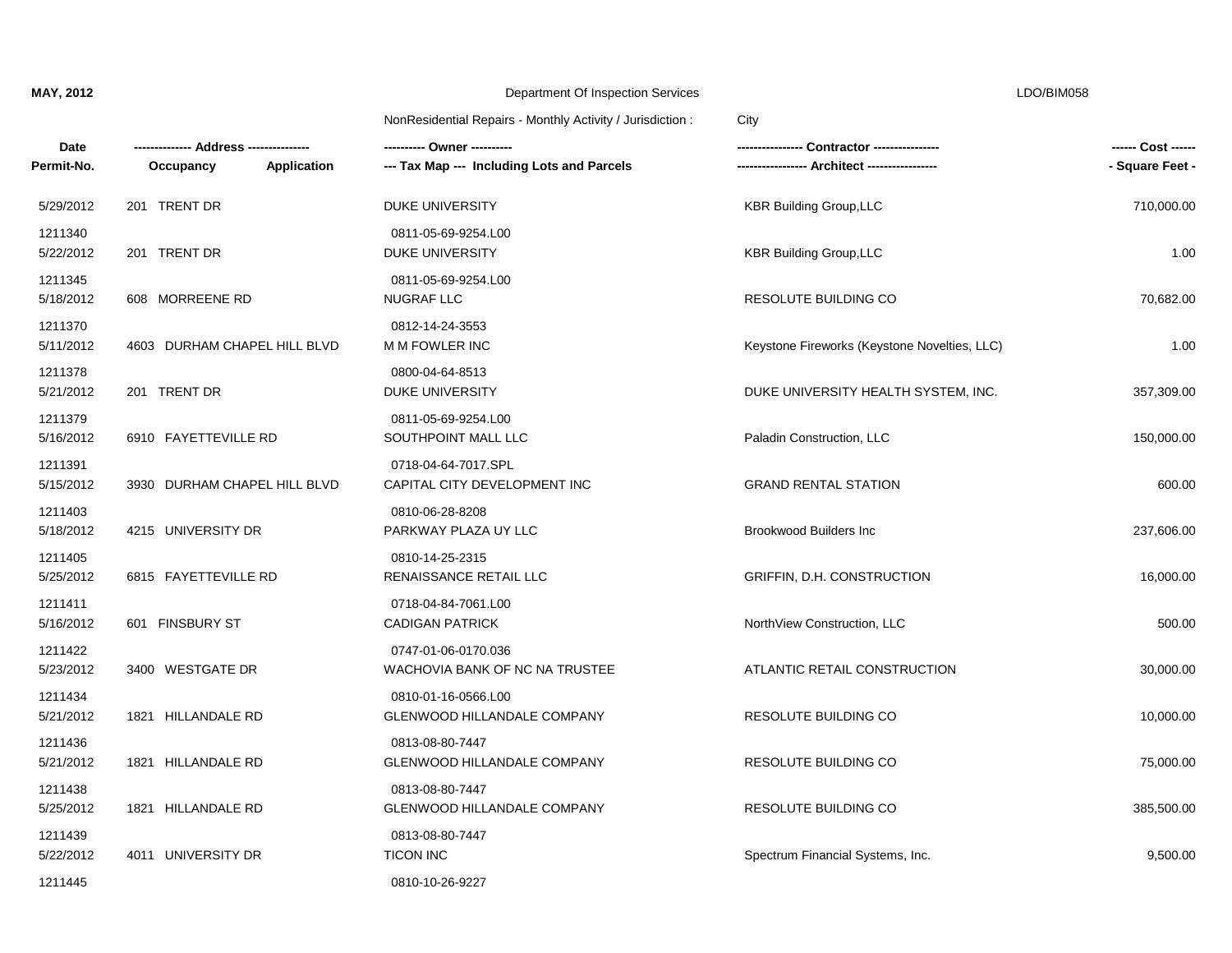| Date<br>Permit-No.   | Occupancy<br><b>Application</b> | --- Tax Map --- Including Lots and Parcels                | <b>Contractor</b> ---------------            | ------ Cost ------<br>- Square Feet - |
|----------------------|---------------------------------|-----------------------------------------------------------|----------------------------------------------|---------------------------------------|
| 5/29/2012            | 201 TRENT DR                    | DUKE UNIVERSITY                                           | <b>KBR Building Group, LLC</b>               | 710,000.00                            |
| 1211340<br>5/22/2012 | 201 TRENT DR                    | 0811-05-69-9254.L00<br><b>DUKE UNIVERSITY</b>             | <b>KBR Building Group, LLC</b>               | 1.00                                  |
| 1211345<br>5/18/2012 | 608 MORREENE RD                 | 0811-05-69-9254.L00<br><b>NUGRAF LLC</b>                  | RESOLUTE BUILDING CO                         | 70,682.00                             |
| 1211370<br>5/11/2012 | 4603 DURHAM CHAPEL HILL BLVD    | 0812-14-24-3553<br>M M FOWLER INC                         | Keystone Fireworks (Keystone Novelties, LLC) | 1.00                                  |
| 1211378<br>5/21/2012 | 201 TRENT DR                    | 0800-04-64-8513<br>DUKE UNIVERSITY                        | DUKE UNIVERSITY HEALTH SYSTEM, INC.          | 357,309.00                            |
| 1211379<br>5/16/2012 | 6910 FAYETTEVILLE RD            | 0811-05-69-9254.L00<br>SOUTHPOINT MALL LLC                | Paladin Construction, LLC                    | 150,000.00                            |
| 1211391<br>5/15/2012 | 3930 DURHAM CHAPEL HILL BLVD    | 0718-04-64-7017.SPL<br>CAPITAL CITY DEVELOPMENT INC       | <b>GRAND RENTAL STATION</b>                  | 600.00                                |
| 1211403<br>5/18/2012 | 4215 UNIVERSITY DR              | 0810-06-28-8208<br>PARKWAY PLAZA UY LLC                   | <b>Brookwood Builders Inc</b>                | 237,606.00                            |
| 1211405<br>5/25/2012 | 6815 FAYETTEVILLE RD            | 0810-14-25-2315<br>RENAISSANCE RETAIL LLC                 | GRIFFIN, D.H. CONSTRUCTION                   | 16,000.00                             |
| 1211411<br>5/16/2012 | 601 FINSBURY ST                 | 0718-04-84-7061.L00<br><b>CADIGAN PATRICK</b>             | NorthView Construction, LLC                  | 500.00                                |
| 1211422<br>5/23/2012 | 3400 WESTGATE DR                | 0747-01-06-0170.036<br>WACHOVIA BANK OF NC NA TRUSTEE     | ATLANTIC RETAIL CONSTRUCTION                 | 30,000.00                             |
| 1211434<br>5/21/2012 | 1821 HILLANDALE RD              | 0810-01-16-0566.L00<br><b>GLENWOOD HILLANDALE COMPANY</b> | RESOLUTE BUILDING CO                         | 10,000.00                             |
| 1211436<br>5/21/2012 | 1821 HILLANDALE RD              | 0813-08-80-7447<br>GLENWOOD HILLANDALE COMPANY            | RESOLUTE BUILDING CO                         | 75,000.00                             |
| 1211438<br>5/25/2012 | 1821 HILLANDALE RD              | 0813-08-80-7447<br>GLENWOOD HILLANDALE COMPANY            | RESOLUTE BUILDING CO                         | 385,500.00                            |
| 1211439<br>5/22/2012 | 4011 UNIVERSITY DR              | 0813-08-80-7447<br><b>TICON INC</b>                       | Spectrum Financial Systems, Inc.             | 9,500.00                              |
| 1211445              |                                 | 0810-10-26-9227                                           |                                              |                                       |